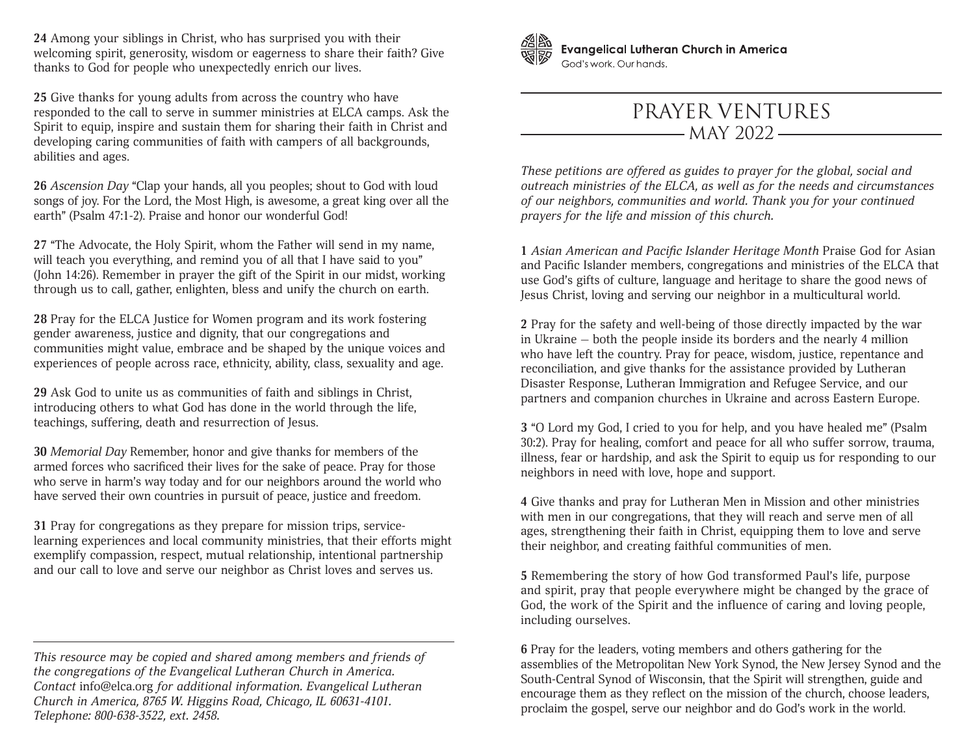**24** Among your siblings in Christ, who has surprised you with their welcoming spirit, generosity, wisdom or eagerness to share their faith? Give thanks to God for people who unexpectedly enrich our lives.

**25** Give thanks for young adults from across the country who have responded to the call to serve in summer ministries at ELCA camps. Ask the Spirit to equip, inspire and sustain them for sharing their faith in Christ and developing caring communities of faith with campers of all backgrounds, abilities and ages.

**26** *Ascension Day* "Clap your hands, all you peoples; shout to God with loud songs of joy. For the Lord, the Most High, is awesome, a great king over all the earth" (Psalm 47:1-2). Praise and honor our wonderful God!

**27** "The Advocate, the Holy Spirit, whom the Father will send in my name, will teach you everything, and remind you of all that I have said to you" (John 14:26). Remember in prayer the gift of the Spirit in our midst, working through us to call, gather, enlighten, bless and unify the church on earth.

**28** Pray for the ELCA Justice for Women program and its work fostering gender awareness, justice and dignity, that our congregations and communities might value, embrace and be shaped by the unique voices and experiences of people across race, ethnicity, ability, class, sexuality and age.

**29** Ask God to unite us as communities of faith and siblings in Christ, introducing others to what God has done in the world through the life, teachings, suffering, death and resurrection of Jesus.

**30** *Memorial Day* Remember, honor and give thanks for members of the armed forces who sacrificed their lives for the sake of peace. Pray for those who serve in harm's way today and for our neighbors around the world who have served their own countries in pursuit of peace, justice and freedom.

**31** Pray for congregations as they prepare for mission trips, servicelearning experiences and local community ministries, that their efforts might exemplify compassion, respect, mutual relationship, intentional partnership and our call to love and serve our neighbor as Christ loves and serves us.

*This resource may be copied and shared among members and friends of the congregations of the Evangelical Lutheran Church in America. Contact* info@elca.org *for additional information. Evangelical Lutheran Church in America, 8765 W. Higgins Road, Chicago, IL 60631-4101. Telephone: 800-638-3522, ext. 2458.*



**Evangelical Lutheran Church in America** God's work, Our hands.

## PRAYER VENTURES  $-$  MAY 2022  $-$

*These petitions are offered as guides to prayer for the global, social and outreach ministries of the ELCA, as well as for the needs and circumstances of our neighbors, communities and world. Thank you for your continued prayers for the life and mission of this church.*

**1** *Asian American and Pacific Islander Heritage Month* Praise God for Asian and Pacific Islander members, congregations and ministries of the ELCA that use God's gifts of culture, language and heritage to share the good news of Jesus Christ, loving and serving our neighbor in a multicultural world.

**2** Pray for the safety and well-being of those directly impacted by the war in Ukraine — both the people inside its borders and the nearly 4 million who have left the country. Pray for peace, wisdom, justice, repentance and reconciliation, and give thanks for the assistance provided by Lutheran Disaster Response, Lutheran Immigration and Refugee Service, and our partners and companion churches in Ukraine and across Eastern Europe.

**3** "O Lord my God, I cried to you for help, and you have healed me" (Psalm 30:2). Pray for healing, comfort and peace for all who suffer sorrow, trauma, illness, fear or hardship, and ask the Spirit to equip us for responding to our neighbors in need with love, hope and support.

**4** Give thanks and pray for Lutheran Men in Mission and other ministries with men in our congregations, that they will reach and serve men of all ages, strengthening their faith in Christ, equipping them to love and serve their neighbor, and creating faithful communities of men.

**5** Remembering the story of how God transformed Paul's life, purpose and spirit, pray that people everywhere might be changed by the grace of God, the work of the Spirit and the influence of caring and loving people, including ourselves.

**6** Pray for the leaders, voting members and others gathering for the assemblies of the Metropolitan New York Synod, the New Jersey Synod and the South-Central Synod of Wisconsin, that the Spirit will strengthen, guide and encourage them as they reflect on the mission of the church, choose leaders, proclaim the gospel, serve our neighbor and do God's work in the world.